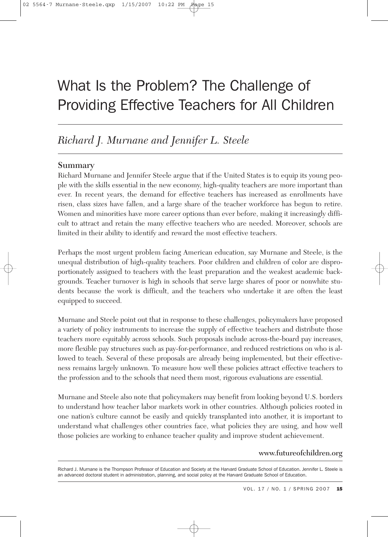# What Is the Problem? The Challenge of Providing Effective Teachers for All Children

## *Richard J. Murnane and Jennifer L. Steele*

### **Summary**

Richard Murnane and Jennifer Steele argue that if the United States is to equip its young people with the skills essential in the new economy, high-quality teachers are more important than ever. In recent years, the demand for effective teachers has increased as enrollments have risen, class sizes have fallen, and a large share of the teacher workforce has begun to retire. Women and minorities have more career options than ever before, making it increasingly difficult to attract and retain the many effective teachers who are needed. Moreover, schools are limited in their ability to identify and reward the most effective teachers.

Perhaps the most urgent problem facing American education, say Murnane and Steele, is the unequal distribution of high-quality teachers. Poor children and children of color are disproportionately assigned to teachers with the least preparation and the weakest academic backgrounds. Teacher turnover is high in schools that serve large shares of poor or nonwhite students because the work is difficult, and the teachers who undertake it are often the least equipped to succeed.

Murnane and Steele point out that in response to these challenges, policymakers have proposed a variety of policy instruments to increase the supply of effective teachers and distribute those teachers more equitably across schools. Such proposals include across-the-board pay increases, more flexible pay structures such as pay-for-performance, and reduced restrictions on who is allowed to teach. Several of these proposals are already being implemented, but their effectiveness remains largely unknown. To measure how well these policies attract effective teachers to the profession and to the schools that need them most, rigorous evaluations are essential.

Murnane and Steele also note that policymakers may benefit from looking beyond U.S. borders to understand how teacher labor markets work in other countries. Although policies rooted in one nation's culture cannot be easily and quickly transplanted into another, it is important to understand what challenges other countries face, what policies they are using, and how well those policies are working to enhance teacher quality and improve student achievement.

### **www.futureofchildren.org**

Richard J. Murnane is the Thompson Professor of Education and Society at the Harvard Graduate School of Education. Jennifer L. Steele is an advanced doctoral student in administration, planning, and social policy at the Harvard Graduate School of Education.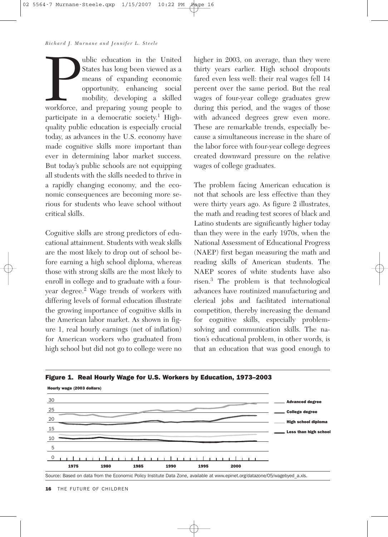which education in the United States has long been viewed as a means of expanding economic opportunity, enhancing social mobility, developing a skilled workforce, and preparing young people to participate in a democratic s States has long been viewed as a means of expanding economic opportunity, enhancing social mobility, developing a skilled workforce, and preparing young people to participate in a democratic society.<sup>1</sup> Highquality public education is especially crucial today, as advances in the U.S. economy have made cognitive skills more important than ever in determining labor market success. But today's public schools are not equipping all students with the skills needed to thrive in a rapidly changing economy, and the economic consequences are becoming more serious for students who leave school without critical skills.

Cognitive skills are strong predictors of educational attainment. Students with weak skills are the most likely to drop out of school before earning a high school diploma, whereas those with strong skills are the most likely to enroll in college and to graduate with a fouryear degree.<sup>2</sup> Wage trends of workers with differing levels of formal education illustrate the growing importance of cognitive skills in the American labor market. As shown in figure 1, real hourly earnings (net of inflation) for American workers who graduated from high school but did not go to college were no

higher in 2003, on average, than they were thirty years earlier. High school dropouts fared even less well: their real wages fell 14 percent over the same period. But the real wages of four-year college graduates grew during this period, and the wages of those with advanced degrees grew even more. These are remarkable trends, especially because a simultaneous increase in the share of the labor force with four-year college degrees created downward pressure on the relative wages of college graduates.

The problem facing American education is not that schools are less effective than they were thirty years ago. As figure 2 illustrates, the math and reading test scores of black and Latino students are significantly higher today than they were in the early 1970s, when the National Assessment of Educational Progress (NAEP) first began measuring the math and reading skills of American students. The NAEP scores of white students have also risen.<sup>3</sup> The problem is that technological advances have routinized manufacturing and clerical jobs and facilitated international competition, thereby increasing the demand for cognitive skills, especially problemsolving and communication skills. The nation's educational problem, in other words, is that an education that was good enough to



**Figure 1. Real Hourly Wage for U.S. Workers by Education, 1973–2003**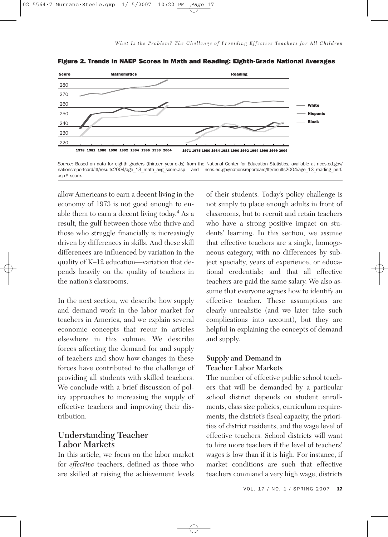



*Source:* Based on data for eighth graders (thirteen-year-olds) from the National Center for Education Statistics, available at nces.ed.gov/ nationsreportcard/ltt/results2004/age\_13\_math\_avg\_score.asp and nces.ed.gov/nationsreportcard/ltt/results2004/age\_13\_reading\_perf. asp# score.

allow Americans to earn a decent living in the economy of 1973 is not good enough to enable them to earn a decent living today. <sup>4</sup> As a result, the gulf between those who thrive and those who struggle financially is increasingly driven by differences in skills. And these skill differences are influenced by variation in the quality of K–12 education—variation that depends heavily on the quality of teachers in the nation's classrooms.

In the next section, we describe how supply and demand work in the labor market for teachers in America, and we explain several economic concepts that recur in articles elsewhere in this volume. We describe forces affecting the demand for and supply of teachers and show how changes in these forces have contributed to the challenge of providing all students with skilled teachers. We conclude with a brief discussion of policy approaches to increasing the supply of effective teachers and improving their distribution.

### **Understanding Teacher Labor Markets**

In this article, we focus on the labor market for *effective* teachers, defined as those who are skilled at raising the achievement levels

of their students. Today's policy challenge is not simply to place enough adults in front of classrooms, but to recruit and retain teachers who have a strong positive impact on students' learning. In this section, we assume that effective teachers are a single, homogeneous category, with no differences by subject specialty, years of experience, or educational credentials; and that all effective teachers are paid the same salary. We also assume that everyone agrees how to identify an effective teacher. These assumptions are clearly unrealistic (and we later take such complications into account), but they are helpful in explaining the concepts of demand and supply.

### **Supply and Demand in Teacher Labor Markets**

The number of effective public school teachers that will be demanded by a particular school district depends on student enrollments, class size policies, curriculum requirements, the district's fiscal capacity, the priorities of district residents, and the wage level of effective teachers. School districts will want to hire more teachers if the level of teachers' wages is low than if it is high. For instance, if market conditions are such that effective teachers command a very high wage, districts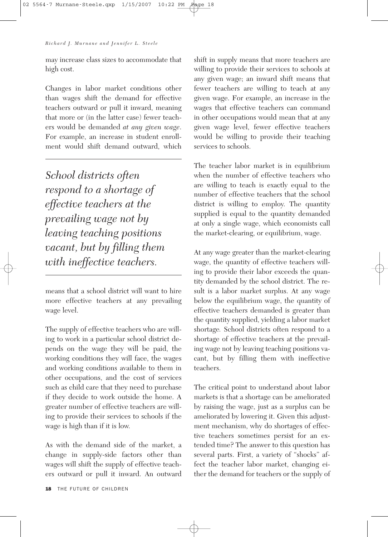may increase class sizes to accommodate that high cost.

Changes in labor market conditions other than wages shift the demand for effective teachers outward or pull it inward, meaning that more or (in the latter case) fewer teachers would be demanded *at any given wage*. For example, an increase in student enrollment would shift demand outward, which

*School districts often respond to a shortage of effective teachers at the prevailing wage not by leaving teaching positions vacant, but by filling them with ineffective teachers.*

means that a school district will want to hire more effective teachers at any prevailing wage level.

The supply of effective teachers who are willing to work in a particular school district depends on the wage they will be paid, the working conditions they will face, the wages and working conditions available to them in other occupations, and the cost of services such as child care that they need to purchase if they decide to work outside the home. A greater number of effective teachers are willing to provide their services to schools if the wage is high than if it is low.

As with the demand side of the market, a change in supply-side factors other than wages will shift the supply of effective teachers outward or pull it inward. An outward shift in supply means that more teachers are willing to provide their services to schools at any given wage; an inward shift means that fewer teachers are willing to teach at any given wage. For example, an increase in the wages that effective teachers can command in other occupations would mean that at any given wage level, fewer effective teachers would be willing to provide their teaching services to schools.

The teacher labor market is in equilibrium when the number of effective teachers who are willing to teach is exactly equal to the number of effective teachers that the school district is willing to employ. The quantity supplied is equal to the quantity demanded at only a single wage, which economists call the market-clearing, or equilibrium, wage.

At any wage greater than the market-clearing wage, the quantity of effective teachers willing to provide their labor exceeds the quantity demanded by the school district. The result is a labor market surplus. At any wage below the equilibrium wage, the quantity of effective teachers demanded is greater than the quantity supplied, yielding a labor market shortage*.* School districts often respond to a shortage of effective teachers at the prevailing wage not by leaving teaching positions vacant, but by filling them with ineffective teachers.

The critical point to understand about labor markets is that a shortage can be ameliorated by raising the wage, just as a surplus can be ameliorated by lowering it. Given this adjustment mechanism, why do shortages of effective teachers sometimes persist for an extended time? The answer to this question has several parts. First, a variety of "shocks" affect the teacher labor market, changing either the demand for teachers or the supply of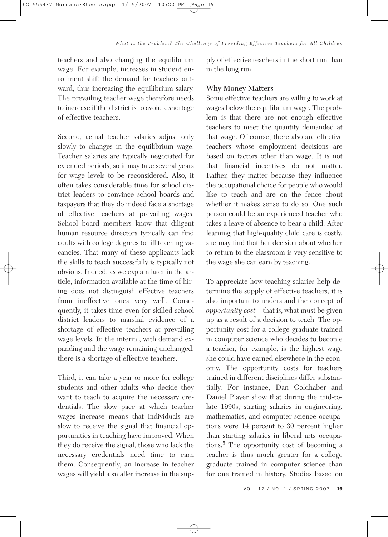teachers and also changing the equilibrium wage. For example, increases in student enrollment shift the demand for teachers outward, thus increasing the equilibrium salary. The prevailing teacher wage therefore needs to increase if the district is to avoid a shortage of effective teachers.

Second, actual teacher salaries adjust only slowly to changes in the equilibrium wage. Teacher salaries are typically negotiated for extended periods, so it may take several years for wage levels to be reconsidered. Also, it often takes considerable time for school district leaders to convince school boards and taxpayers that they do indeed face a shortage of effective teachers at prevailing wages. School board members know that diligent human resource directors typically can find adults with college degrees to fill teaching vacancies. That many of these applicants lack the skills to teach successfully is typically not obvious. Indeed, as we explain later in the article, information available at the time of hiring does not distinguish effective teachers from ineffective ones very well. Consequently, it takes time even for skilled school district leaders to marshal evidence of a shortage of effective teachers at prevailing wage levels. In the interim, with demand expanding and the wage remaining unchanged, there is a shortage of effective teachers.

Third, it can take a year or more for college students and other adults who decide they want to teach to acquire the necessary credentials. The slow pace at which teacher wages increase means that individuals are slow to receive the signal that financial opportunities in teaching have improved. When they do receive the signal, those who lack the necessary credentials need time to earn them. Consequently, an increase in teacher wages will yield a smaller increase in the supply of effective teachers in the short run than in the long run.

### **Why Money Matters**

Some effective teachers are willing to work at wages below the equilibrium wage. The problem is that there are not enough effective teachers to meet the quantity demanded at that wage. Of course, there also are effective teachers whose employment decisions are based on factors other than wage. It is not that financial incentives do not matter. Rather, they matter because they influence the occupational choice for people who would like to teach and are on the fence about whether it makes sense to do so. One such person could be an experienced teacher who takes a leave of absence to bear a child. After learning that high-quality child care is costly, she may find that her decision about whether to return to the classroom is very sensitive to the wage she can earn by teaching.

To appreciate how teaching salaries help determine the supply of effective teachers, it is also important to understand the concept of *opportunity cost*—that is, what must be given up as a result of a decision to teach. The opportunity cost for a college graduate trained in computer science who decides to become a teacher, for example, is the highest wage she could have earned elsewhere in the economy. The opportunity costs for teachers trained in different disciplines differ substantially. For instance, Dan Goldhaber and Daniel Player show that during the mid-tolate 1990s, starting salaries in engineering, mathematics, and computer science occupations were 14 percent to 30 percent higher than starting salaries in liberal arts occupations.<sup>5</sup> The opportunity cost of becoming a teacher is thus much greater for a college graduate trained in computer science than for one trained in history. Studies based on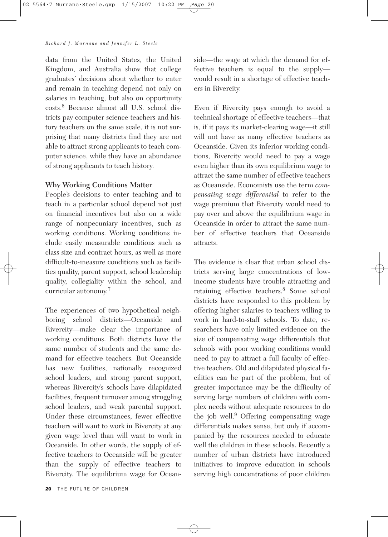data from the United States, the United Kingdom, and Australia show that college graduates' decisions about whether to enter and remain in teaching depend not only on salaries in teaching, but also on opportunity costs.<sup>6</sup> Because almost all U.S. school districts pay computer science teachers and history teachers on the same scale, it is not surprising that many districts find they are not able to attract strong applicants to teach computer science, while they have an abundance of strong applicants to teach history.

### **Why Working Conditions Matter**

People's decisions to enter teaching and to teach in a particular school depend not just on financial incentives but also on a wide range of nonpecuniary incentives, such as working conditions. Working conditions include easily measurable conditions such as class size and contract hours, as well as more difficult-to-measure conditions such as facilities quality, parent support, school leadership quality, collegiality within the school, and curricular autonomy. 7

The experiences of two hypothetical neighboring school districts—Oceanside and Rivercity—make clear the importance of working conditions. Both districts have the same number of students and the same demand for effective teachers. But Oceanside has new facilities, nationally recognized school leaders, and strong parent support, whereas Rivercity's schools have dilapidated facilities, frequent turnover among struggling school leaders, and weak parental support. Under these circumstances, fewer effective teachers will want to work in Rivercity at any given wage level than will want to work in Oceanside. In other words, the supply of effective teachers to Oceanside will be greater than the supply of effective teachers to Rivercity. The equilibrium wage for Oceanside—the wage at which the demand for effective teachers is equal to the supply would result in a shortage of effective teachers in Rivercity.

Even if Rivercity pays enough to avoid a technical shortage of effective teachers—that is, if it pays its market-clearing wage—it still will not have as many effective teachers as Oceanside. Given its inferior working conditions, Rivercity would need to pay a wage even higher than its own equilibrium wage to attract the same number of effective teachers as Oceanside. Economists use the term *compensating wage differential* to refer to the wage premium that Rivercity would need to pay over and above the equilibrium wage in Oceanside in order to attract the same number of effective teachers that Oceanside attracts.

The evidence is clear that urban school districts serving large concentrations of lowincome students have trouble attracting and retaining effective teachers.<sup>8</sup> Some school districts have responded to this problem by offering higher salaries to teachers willing to work in hard-to-staff schools. To date, researchers have only limited evidence on the size of compensating wage differentials that schools with poor working conditions would need to pay to attract a full faculty of effective teachers. Old and dilapidated physical facilities can be part of the problem, but of greater importance may be the difficulty of serving large numbers of children with complex needs without adequate resources to do the job well.<sup>9</sup> Offering compensating wage differentials makes sense, but only if accompanied by the resources needed to educate well the children in these schools. Recently a number of urban districts have introduced initiatives to improve education in schools serving high concentrations of poor children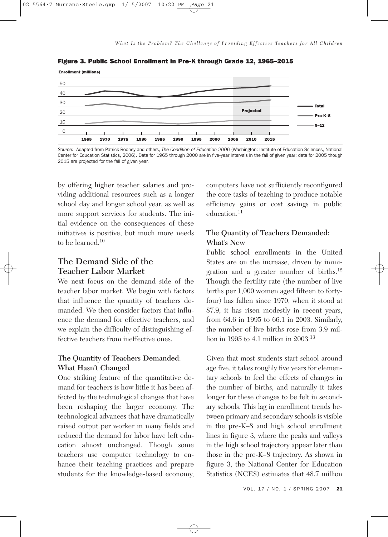



*Source:* Adapted from Patrick Rooney and others, *The Condition of Education 2006* (Washington: Institute of Education Sciences, National Center for Education Statistics, 2006). Data for 1965 through 2000 are in five-year intervals in the fall of given year; data for 2005 though 2015 are projected for the fall of given year.

by offering higher teacher salaries and providing additional resources such as a longer school day and longer school year, as well as more support services for students. The initial evidence on the consequences of these initiatives is positive, but much more needs to be learned.<sup>10</sup>

### **The Demand Side of the Teacher Labor Market**

We next focus on the demand side of the teacher labor market. We begin with factors that influence the quantity of teachers demanded. We then consider factors that influence the demand for effective teachers, and we explain the difficulty of distinguishing effective teachers from ineffective ones.

### **The Quantity of Teachers Demanded: What Hasn't Changed**

One striking feature of the quantitative demand for teachers is how little it has been affected by the technological changes that have been reshaping the larger economy. The technological advances that have dramatically raised output per worker in many fields and reduced the demand for labor have left education almost unchanged. Though some teachers use computer technology to enhance their teaching practices and prepare students for the knowledge-based economy,

computers have not sufficiently reconfigured the core tasks of teaching to produce notable efficiency gains or cost savings in public education.<sup>11</sup>

### **The Quantity of Teachers Demanded: What's New**

Public school enrollments in the United States are on the increase, driven by immigration and a greater number of births.<sup>12</sup> Though the fertility rate (the number of live births per 1,000 women aged fifteen to fortyfour) has fallen since 1970, when it stood at 87.9, it has risen modestly in recent years, from 64.6 in 1995 to 66.1 in 2003. Similarly, the number of live births rose from 3.9 million in 1995 to 4.1 million in 2003.<sup>13</sup>

Given that most students start school around age five, it takes roughly five years for elementary schools to feel the effects of changes in the number of births, and naturally it takes longer for these changes to be felt in secondary schools. This lag in enrollment trends between primary and secondary schools is visible in the pre-K–8 and high school enrollment lines in figure 3, where the peaks and valleys in the high school trajectory appear later than those in the pre-K–8 trajectory. As shown in figure 3, the National Center for Education Statistics (NCES) estimates that 48.7 million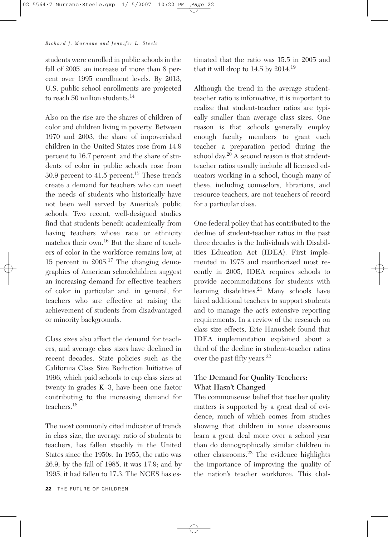students were enrolled in public schools in the fall of 2005, an increase of more than 8 percent over 1995 enrollment levels. By 2013, U.S. public school enrollments are projected to reach 50 million students  $^{14}$ 

Also on the rise are the shares of children of color and children living in poverty. Between 1970 and 2003, the share of impoverished children in the United States rose from 14.9 percent to 16.7 percent, and the share of students of color in public schools rose from 30.9 percent to 41.5 percent.<sup>15</sup> These trends create a demand for teachers who can meet the needs of students who historically have not been well served by America's public schools. Two recent, well-designed studies find that students benefit academically from having teachers whose race or ethnicity matches their own.<sup>16</sup> But the share of teachers of color in the workforce remains low, at 15 percent in 2005.<sup>17</sup> The changing demographics of American schoolchildren suggest an increasing demand for effective teachers of color in particular and, in general, for teachers who are effective at raising the achievement of students from disadvantaged or minority backgrounds.

Class sizes also affect the demand for teachers, and average class sizes have declined in recent decades. State policies such as the California Class Size Reduction Initiative of 1996, which paid schools to cap class sizes at twenty in grades K–3, have been one factor contributing to the increasing demand for teachers<sup>18</sup>

The most commonly cited indicator of trends in class size, the average ratio of students to teachers, has fallen steadily in the United States since the 1950s. In 1955, the ratio was 26.9; by the fall of 1985, it was 17.9; and by 1995, it had fallen to 17.3. The NCES has estimated that the ratio was 15.5 in 2005 and that it will drop to 14.5 by 2014.19

Although the trend in the average studentteacher ratio is informative, it is important to realize that student-teacher ratios are typically smaller than average class sizes. One reason is that schools generally employ enough faculty members to grant each teacher a preparation period during the school day.<sup>20</sup> A second reason is that studentteacher ratios usually include all licensed educators working in a school, though many of these, including counselors, librarians, and resource teachers, are not teachers of record for a particular class.

One federal policy that has contributed to the decline of student-teacher ratios in the past three decades is the Individuals with Disabilities Education Act (IDEA). First implemented in 1975 and reauthorized most recently in 2005, IDEA requires schools to provide accommodations for students with learning disabilities.<sup>21</sup> Many schools have hired additional teachers to support students and to manage the act's extensive reporting requirements. In a review of the research on class size effects, Eric Hanushek found that IDEA implementation explained about a third of the decline in student-teacher ratios over the past fifty years.<sup>22</sup>

### **The Demand for Quality Teachers: What Hasn't Changed**

The commonsense belief that teacher quality matters is supported by a great deal of evidence, much of which comes from studies showing that children in some classrooms learn a great deal more over a school year than do demographically similar children in other classrooms.<sup>23</sup> The evidence highlights the importance of improving the quality of the nation's teacher workforce. This chal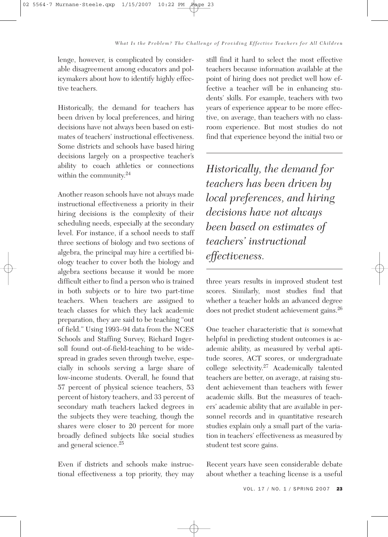lenge, however, is complicated by considerable disagreement among educators and policymakers about how to identify highly effective teachers.

Historically, the demand for teachers has been driven by local preferences, and hiring decisions have not always been based on estimates of teachers' instructional effectiveness. Some districts and schools have based hiring decisions largely on a prospective teacher's ability to coach athletics or connections within the community.<sup>24</sup>

Another reason schools have not always made instructional effectiveness a priority in their hiring decisions is the complexity of their scheduling needs, especially at the secondary level. For instance, if a school needs to staff three sections of biology and two sections of algebra, the principal may hire a certified biology teacher to cover both the biology and algebra sections because it would be more difficult either to find a person who is trained in both subjects or to hire two part-time teachers. When teachers are assigned to teach classes for which they lack academic preparation, they are said to be teaching "out of field." Using 1993–94 data from the NCES Schools and Staffing Survey, Richard Ingersoll found out-of-field-teaching to be widespread in grades seven through twelve, especially in schools serving a large share of low-income students. Overall, he found that 57 percent of physical science teachers, 53 percent of history teachers, and 33 percent of secondary math teachers lacked degrees in the subjects they were teaching, though the shares were closer to 20 percent for more broadly defined subjects like social studies and general science.<sup>25</sup>

Even if districts and schools make instructional effectiveness a top priority, they may

still find it hard to select the most effective teachers because information available at the point of hiring does not predict well how effective a teacher will be in enhancing students' skills. For example, teachers with two years of experience appear to be more effective, on average, than teachers with no classroom experience. But most studies do not find that experience beyond the initial two or

*Historically, the demand for teachers has been driven by local preferences, and hiring decisions have not always been based on estimates of teachers' instructional effectiveness.* 

three years results in improved student test scores. Similarly, most studies find that whether a teacher holds an advanced degree does not predict student achievement gains.<sup>26</sup>

One teacher characteristic that *is* somewhat helpful in predicting student outcomes is academic ability, as measured by verbal aptitude scores, ACT scores, or undergraduate college selectivity. <sup>27</sup> Academically talented teachers are better, on average, at raising student achievement than teachers with fewer academic skills. But the measures of teachers' academic ability that are available in personnel records and in quantitative research studies explain only a small part of the variation in teachers' effectiveness as measured by student test score gains.

Recent years have seen considerable debate about whether a teaching license is a useful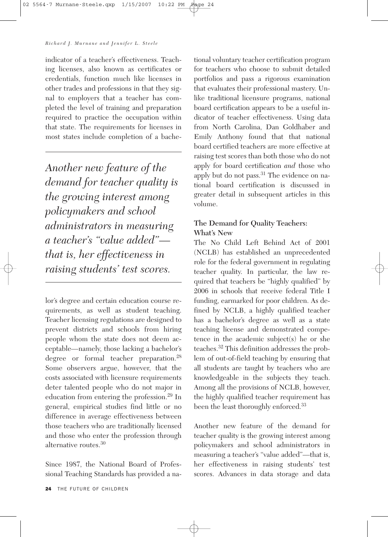indicator of a teacher's effectiveness. Teaching licenses, also known as certificates or credentials, function much like licenses in other trades and professions in that they signal to employers that a teacher has completed the level of training and preparation required to practice the occupation within that state. The requirements for licenses in most states include completion of a bache-

*Another new feature of the demand for teacher quality is the growing interest among policymakers and school administrators in measuring a teacher's "value added" that is, her effectiveness in raising students' test scores.*

lor's degree and certain education course requirements, as well as student teaching. Teacher licensing regulations are designed to prevent districts and schools from hiring people whom the state does not deem acceptable—namely, those lacking a bachelor's degree or formal teacher preparation.<sup>28</sup> Some observers argue, however, that the costs associated with licensure requirements deter talented people who do not major in education from entering the profession.<sup>29</sup> In general, empirical studies find little or no difference in average effectiveness between those teachers who are traditionally licensed and those who enter the profession through alternative routes.<sup>30</sup>

Since 1987, the National Board of Professional Teaching Standards has provided a national voluntary teacher certification program for teachers who choose to submit detailed portfolios and pass a rigorous examination that evaluates their professional mastery. Unlike traditional licensure programs, national board certification appears to be a useful indicator of teacher effectiveness. Using data from North Carolina, Dan Goldhaber and Emily Anthony found that that national board certified teachers are more effective at raising test scores than both those who do not apply for board certification *and* those who apply but do not pass.<sup>31</sup> The evidence on national board certification is discussed in greater detail in subsequent articles in this volume.

### **The Demand for Quality Teachers: What's New**

The No Child Left Behind Act of 2001 (NCLB) has established an unprecedented role for the federal government in regulating teacher quality. In particular, the law required that teachers be "highly qualified" by 2006 in schools that receive federal Title I funding, earmarked for poor children. As defined by NCLB, a highly qualified teacher has a bachelor's degree as well as a state teaching license and demonstrated competence in the academic subject(s) he or she teaches.<sup>32</sup> This definition addresses the problem of out-of-field teaching by ensuring that all students are taught by teachers who are knowledgeable in the subjects they teach. Among all the provisions of NCLB, however, the highly qualified teacher requirement has been the least thoroughly enforced.<sup>33</sup>

Another new feature of the demand for teacher quality is the growing interest among policymakers and school administrators in measuring a teacher's "value added"—that is, her effectiveness in raising students' test scores. Advances in data storage and data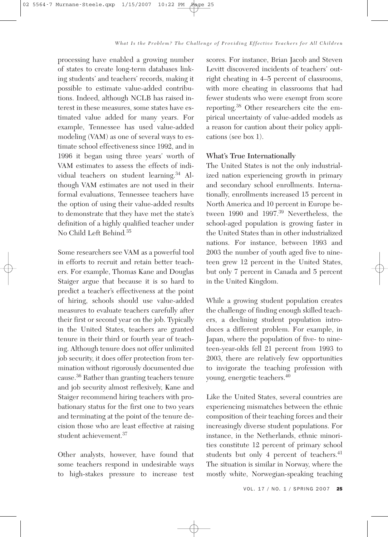processing have enabled a growing number of states to create long-term databases linking students' and teachers' records, making it possible to estimate value-added contributions. Indeed, although NCLB has raised interest in these measures, some states have estimated value added for many years. For example, Tennessee has used value-added modeling (VAM) as one of several ways to estimate school effectiveness since 1992, and in 1996 it began using three years' worth of VAM estimates to assess the effects of individual teachers on student learning.<sup>34</sup> Although VAM estimates are not used in their formal evaluations, Tennessee teachers have the option of using their value-added results to demonstrate that they have met the state's definition of a highly qualified teacher under No Child Left Behind*.* 35

Some researchers see VAM as a powerful tool in efforts to recruit and retain better teachers. For example, Thomas Kane and Douglas Staiger argue that because it is so hard to predict a teacher's effectiveness at the point of hiring, schools should use value-added measures to evaluate teachers carefully after their first or second year on the job. Typically in the United States, teachers are granted tenure in their third or fourth year of teaching. Although tenure does not offer unlimited job security, it does offer protection from termination without rigorously documented due cause.<sup>36</sup> Rather than granting teachers tenure and job security almost reflexively, Kane and Staiger recommend hiring teachers with probationary status for the first one to two years and terminating at the point of the tenure decision those who are least effective at raising student achievement.<sup>37</sup>

Other analysts, however, have found that some teachers respond in undesirable ways to high-stakes pressure to increase test

scores. For instance, Brian Jacob and Steven Levitt discovered incidents of teachers' outright cheating in 4–5 percent of classrooms, with more cheating in classrooms that had fewer students who were exempt from score reporting.<sup>38</sup> Other researchers cite the empirical uncertainty of value-added models as a reason for caution about their policy applications (see box 1).

### **What's True Internationally**

The United States is not the only industrialized nation experiencing growth in primary and secondary school enrollments. Internationally, enrollments increased 15 percent in North America and 10 percent in Europe between 1990 and 1997.<sup>39</sup> Nevertheless, the school-aged population is growing faster in the United States than in other industrialized nations. For instance, between 1993 and 2003 the number of youth aged five to nineteen grew 12 percent in the United States, but only 7 percent in Canada and 5 percent in the United Kingdom.

While a growing student population creates the challenge of finding enough skilled teachers, a declining student population introduces a different problem. For example, in Japan, where the population of five- to nineteen-year-olds fell 21 percent from 1993 to 2003, there are relatively few opportunities to invigorate the teaching profession with young, energetic teachers.<sup>40</sup>

Like the United States, several countries are experiencing mismatches between the ethnic composition of their teaching forces and their increasingly diverse student populations. For instance, in the Netherlands, ethnic minorities constitute 12 percent of primary school students but only 4 percent of teachers.<sup>41</sup> The situation is similar in Norway, where the mostly white, Norwegian-speaking teaching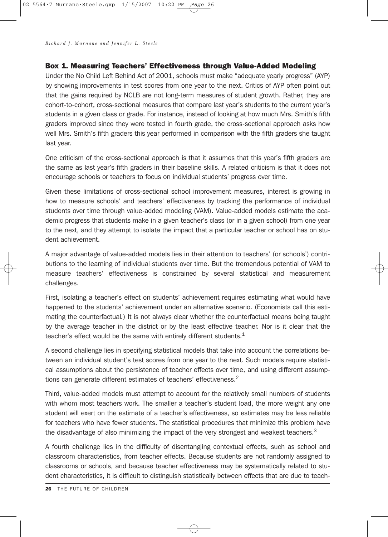### **Box 1. Measuring Teachers' Effectiveness through Value-Added Modeling**

Under the No Child Left Behind Act of 2001, schools must make "adequate yearly progress" (AYP) by showing improvements in test scores from one year to the next. Critics of AYP often point out that the gains required by NCLB are not long-term measures of student growth. Rather, they are cohort-to-cohort, cross-sectional measures that compare last year's students to the current year's students in a given class or grade. For instance, instead of looking at how much Mrs. Smith's fifth graders improved since they were tested in fourth grade, the cross-sectional approach asks how well Mrs. Smith's fifth graders this year performed in comparison with the fifth graders she taught last year.

One criticism of the cross-sectional approach is that it assumes that this year's fifth graders are the same as last year's fifth graders in their baseline skills. A related criticism is that it does not encourage schools or teachers to focus on individual students' progress over time.

Given these limitations of cross-sectional school improvement measures, interest is growing in how to measure schools' and teachers' effectiveness by tracking the performance of individual students over time through value-added modeling (VAM). Value-added models estimate the academic progress that students make in a given teacher's class (or in a given school) from one year to the next, and they attempt to isolate the impact that a particular teacher or school has on student achievement.

A major advantage of value-added models lies in their attention to teachers' (or schools') contributions to the learning of individual students over time. But the tremendous potential of VAM to measure teachers' effectiveness is constrained by several statistical and measurement challenges.

First, isolating a teacher's effect on students' achievement requires estimating what would have happened to the students' achievement under an alternative scenario. (Economists call this estimating the counterfactual*.*) It is not always clear whether the counterfactual means being taught by the average teacher in the district or by the least effective teacher. Nor is it clear that the teacher's effect would be the same with entirely different students. $<sup>1</sup>$ </sup>

A second challenge lies in specifying statistical models that take into account the correlations between an individual student's test scores from one year to the next. Such models require statistical assumptions about the persistence of teacher effects over time, and using different assumptions can generate different estimates of teachers' effectiveness.<sup>2</sup>

Third, value-added models must attempt to account for the relatively small numbers of students with whom most teachers work. The smaller a teacher's student load, the more weight any one student will exert on the estimate of a teacher's effectiveness, so estimates may be less reliable for teachers who have fewer students. The statistical procedures that minimize this problem have the disadvantage of also minimizing the impact of the very strongest and weakest teachers.<sup>3</sup>

A fourth challenge lies in the difficulty of disentangling contextual effects, such as school and classroom characteristics, from teacher effects. Because students are not randomly assigned to classrooms or schools, and because teacher effectiveness may be systematically related to student characteristics, it is difficult to distinguish statistically between effects that are due to teach-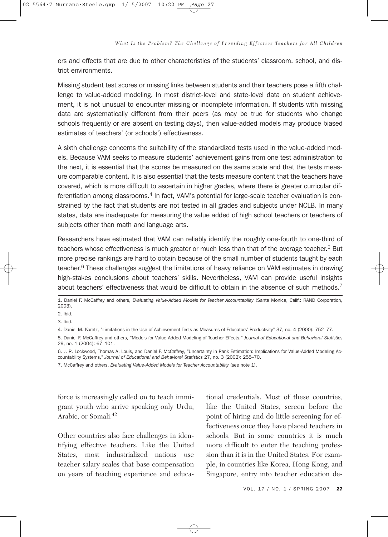ers and effects that are due to other characteristics of the students' classroom, school, and district environments.

Missing student test scores or missing links between students and their teachers pose a fifth challenge to value-added modeling. In most district-level and state-level data on student achievement, it is not unusual to encounter missing or incomplete information. If students with missing data are systematically different from their peers (as may be true for students who change schools frequently or are absent on testing days), then value-added models may produce biased estimates of teachers' (or schools') effectiveness.

A sixth challenge concerns the suitability of the standardized tests used in the value-added models. Because VAM seeks to measure students' achievement gains from one test administration to the next, it is essential that the scores be measured on the same scale and that the tests measure comparable content. It is also essential that the tests measure content that the teachers have covered, which is more difficult to ascertain in higher grades, where there is greater curricular differentiation among classrooms.<sup>4</sup> In fact, VAM's potential for large-scale teacher evaluation is constrained by the fact that students are not tested in all grades and subjects under NCLB. In many states, data are inadequate for measuring the value added of high school teachers or teachers of subjects other than math and language arts.

Researchers have estimated that VAM can reliably identify the roughly one-fourth to one-third of teachers whose effectiveness is much greater or much less than that of the average teacher.<sup>5</sup> But more precise rankings are hard to obtain because of the small number of students taught by each teacher.<sup>6</sup> These challenges suggest the limitations of heavy reliance on VAM estimates in drawing high-stakes conclusions about teachers' skills. Nevertheless, VAM can provide useful insights about teachers' effectiveness that would be difficult to obtain in the absence of such methods.<sup>7</sup>

7. McCaffrey and others, *Evaluating Value-Added Models for Teacher Accountability* (see note 1).

force is increasingly called on to teach immigrant youth who arrive speaking only Urdu, Arabic, or Somali.<sup>42</sup>

Other countries also face challenges in identifying effective teachers. Like the United States, most industrialized nations use teacher salary scales that base compensation on years of teaching experience and educational credentials. Most of these countries, like the United States, screen before the point of hiring and do little screening for effectiveness once they have placed teachers in schools. But in some countries it is much more difficult to enter the teaching profession than it is in the United States. For example, in countries like Korea, Hong Kong, and Singapore, entry into teacher education de-

<sup>1.</sup> Daniel F. McCaffrey and others, *Evaluating Value-Added Models for Teacher Accountability* (Santa Monica, Calif.: RAND Corporation, 2003).

<sup>2.</sup> Ibid.

<sup>3.</sup> Ibid.

<sup>4.</sup> Daniel M. Koretz, "Limitations in the Use of Achievement Tests as Measures of Educators' Productivity" 37, no. 4 (2000): 752–77.

<sup>5.</sup> Daniel F. McCaffrey and others, "Models for Value-Added Modeling of Teacher Effects," *Journal of Educational and Behavioral Statistics* 29, no. 1 (2004): 67–101.

<sup>6.</sup> J. R. Lockwood, Thomas A. Louis, and Daniel F. McCaffrey, "Uncertainty in Rank Estimation: Implications for Value-Added Modeling Accountability Systems," *Journal of Educational and Behavioral Statistics* 27, no. 3 (2002): 255–70.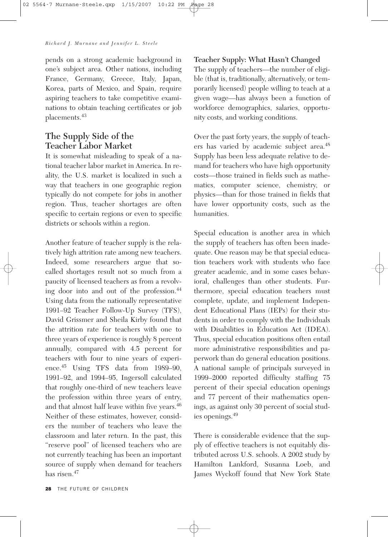pends on a strong academic background in one's subject area. Other nations, including France, Germany, Greece, Italy, Japan, Korea, parts of Mexico, and Spain, require aspiring teachers to take competitive examinations to obtain teaching certificates or job placements.<sup>43</sup>

### **The Supply Side of the Teacher Labor Market**

It is somewhat misleading to speak of a national teacher labor market in America. In reality, the U.S. market is localized in such a way that teachers in one geographic region typically do not compete for jobs in another region. Thus, teacher shortages are often specific to certain regions or even to specific districts or schools within a region.

Another feature of teacher supply is the relatively high attrition rate among new teachers. Indeed, some researchers argue that socalled shortages result not so much from a paucity of licensed teachers as from a revolving door into and out of the profession.<sup>44</sup> Using data from the nationally representative 1991–92 Teacher Follow-Up Survey (TFS), David Grissmer and Sheila Kirby found that the attrition rate for teachers with one to three years of experience is roughly 8 percent annually, compared with 4.5 percent for teachers with four to nine years of experience.<sup>45</sup> Using TFS data from 1989–90, 1991–92, and 1994–95, Ingersoll calculated that roughly one-third of new teachers leave the profession within three years of entry, and that almost half leave within five years.<sup>46</sup> Neither of these estimates, however, considers the number of teachers who leave the classroom and later return. In the past, this "reserve pool" of licensed teachers who are not currently teaching has been an important source of supply when demand for teachers has risen.<sup>47</sup>

#### **Teacher Supply: What Hasn't Changed**

The supply of teachers—the number of eligible (that is, traditionally, alternatively, or temporarily licensed) people willing to teach at a given wage—has always been a function of workforce demographics, salaries, opportunity costs, and working conditions.

Over the past forty years, the supply of teachers has varied by academic subject area.<sup>48</sup> Supply has been less adequate relative to demand for teachers who have high opportunity costs—those trained in fields such as mathematics, computer science, chemistry, or physics—than for those trained in fields that have lower opportunity costs, such as the humanities.

Special education is another area in which the supply of teachers has often been inadequate. One reason may be that special education teachers work with students who face greater academic, and in some cases behavioral, challenges than other students. Furthermore, special education teachers must complete, update, and implement Independent Educational Plans (IEPs) for their students in order to comply with the Individuals with Disabilities in Education Act (IDEA). Thus, special education positions often entail more administrative responsibilities and paperwork than do general education positions. A national sample of principals surveyed in 1999–2000 reported difficulty staffing 75 percent of their special education openings and 77 percent of their mathematics openings, as against only 30 percent of social studies openings.<sup>49</sup>

There is considerable evidence that the supply of effective teachers is not equitably distributed across U.S. schools. A 2002 study by Hamilton Lankford, Susanna Loeb, and James Wyckoff found that New York State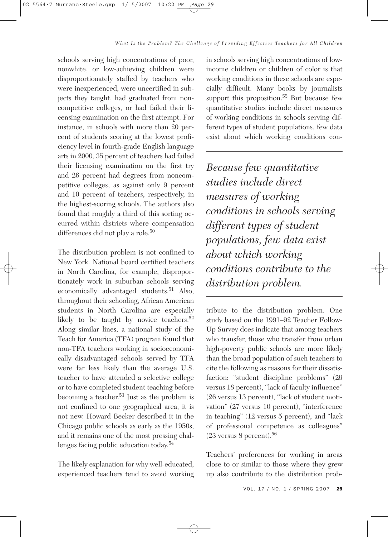schools serving high concentrations of poor, nonwhite, or low-achieving children were disproportionately staffed by teachers who were inexperienced, were uncertified in subjects they taught, had graduated from noncompetitive colleges, or had failed their licensing examination on the first attempt. For instance, in schools with more than 20 percent of students scoring at the lowest proficiency level in fourth-grade English language arts in 2000, 35 percent of teachers had failed their licensing examination on the first try and 26 percent had degrees from noncompetitive colleges, as against only 9 percent and 10 percent of teachers, respectively, in the highest-scoring schools. The authors also found that roughly a third of this sorting occurred within districts where compensation differences did not play a role.<sup>50</sup>

The distribution problem is not confined to New York. National board certified teachers in North Carolina, for example, disproportionately work in suburban schools serving economically advantaged students.<sup>51</sup> Also, throughout their schooling, African American students in North Carolina are especially likely to be taught by novice teachers.<sup>52</sup> Along similar lines, a national study of the Teach for America (TFA) program found that non-TFA teachers working in socioeconomically disadvantaged schools served by TFA were far less likely than the average U.S. teacher to have attended a selective college or to have completed student teaching before becoming a teacher. <sup>53</sup> Just as the problem is not confined to one geographical area, it is not new. Howard Becker described it in the Chicago public schools as early as the 1950s, and it remains one of the most pressing challenges facing public education today.54

The likely explanation for why well-educated, experienced teachers tend to avoid working in schools serving high concentrations of lowincome children or children of color is that working conditions in these schools are especially difficult. Many books by journalists support this proposition.<sup>55</sup> But because few quantitative studies include direct measures of working conditions in schools serving different types of student populations, few data exist about which working conditions con-

*Because few quantitative studies include direct measures of working conditions in schools serving different types of student populations, few data exist about which working conditions contribute to the distribution problem.*

tribute to the distribution problem. One study based on the 1991–92 Teacher Follow-Up Survey does indicate that among teachers who transfer, those who transfer from urban high-poverty public schools are more likely than the broad population of such teachers to cite the following as reasons for their dissatisfaction: "student discipline problems" (29 versus 18 percent), "lack of faculty influence" (26 versus 13 percent), "lack of student motivation" (27 versus 10 percent), "interference in teaching" (12 versus 5 percent), and "lack of professional competence as colleagues"  $(23 \text{ versus } 8 \text{ percent})$ .<sup>56</sup>

Teachers' preferences for working in areas close to or similar to those where they grew up also contribute to the distribution prob-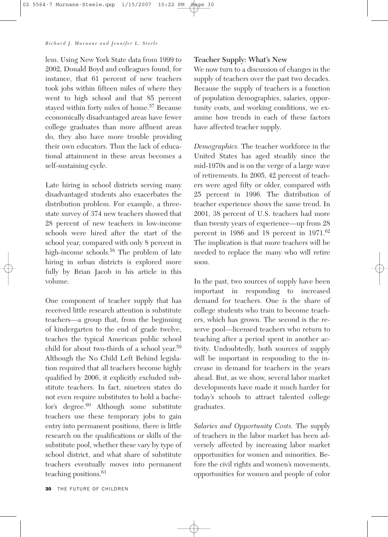lem. Using New York State data from 1999 to 2002, Donald Boyd and colleagues found, for instance, that 61 percent of new teachers took jobs within fifteen miles of where they went to high school and that 85 percent stayed within forty miles of home.<sup>57</sup> Because economically disadvantaged areas have fewer college graduates than more affluent areas do, they also have more trouble providing their own educators. Thus the lack of educational attainment in these areas becomes a self-sustaining cycle.

Late hiring in school districts serving many disadvantaged students also exacerbates the distribution problem. For example, a threestate survey of 374 new teachers showed that 28 percent of new teachers in low-income schools were hired after the start of the school year, compared with only 8 percent in high-income schools.<sup>58</sup> The problem of late hiring in urban districts is explored more fully by Brian Jacob in his article in this volume.

One component of teacher supply that has received little research attention is substitute teachers—a group that, from the beginning of kindergarten to the end of grade twelve, teaches the typical American public school child for about two-thirds of a school year.<sup>59</sup> Although the No Child Left Behind legislation required that all teachers become highly qualified by 2006, it explicitly excluded substitute teachers. In fact, nineteen states do not even require substitutes to hold a bachelor's degree.<sup>60</sup> Although some substitute teachers use these temporary jobs to gain entry into permanent positions, there is little research on the qualifications or skills of the substitute pool, whether these vary by type of school district, and what share of substitute teachers eventually moves into permanent teaching positions.<sup>61</sup>

### **Teacher Supply: What's New**

We now turn to a discussion of changes in the supply of teachers over the past two decades. Because the supply of teachers is a function of population demographics, salaries, opportunity costs, and working conditions, we examine how trends in each of these factors have affected teacher supply.

*Demographics.* The teacher workforce in the United States has aged steadily since the mid-1970s and is on the verge of a large wave of retirements. In 2005, 42 percent of teachers were aged fifty or older, compared with 25 percent in 1996. The distribution of teacher experience shows the same trend. In 2001, 38 percent of U.S. teachers had more than twenty years of experience—up from 28 percent in 1986 and 18 percent in 1971.<sup>62</sup> The implication is that more teachers will be needed to replace the many who will retire soon.

In the past, two sources of supply have been important in responding to increased demand for teachers. One is the share of college students who train to become teachers, which has grown. The second is the reserve pool—licensed teachers who return to teaching after a period spent in another activity. Undoubtedly, both sources of supply will be important in responding to the increase in demand for teachers in the years ahead. But, as we show, several labor market developments have made it much harder for today's schools to attract talented college graduates.

*Salaries and Opportunity Costs.* The supply of teachers in the labor market has been adversely affected by increasing labor market opportunities for women and minorities. Before the civil rights and women's movements, opportunities for women and people of color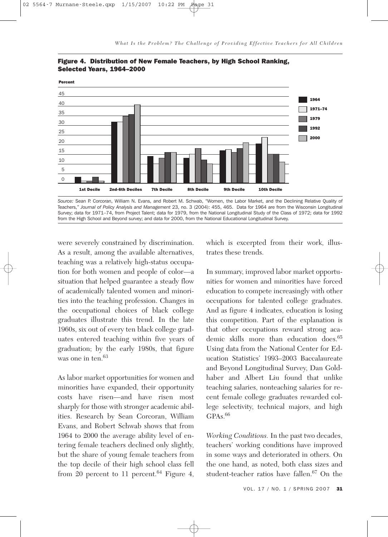

#### **Figure 4. Distribution of New Female Teachers, by High School Ranking, Selected Years, 1964–2000**

*Source:* Sean P. Corcoran, William N. Evans, and Robert M. Schwab, "Women, the Labor Market, and the Declining Relative Quality of Teachers," *Journal of Policy Analysis and Management* 23, no. 3 (2004): 455, 465. Data for 1964 are from the Wisconsin Longitudinal Survey; data for 1971–74, from Project Talent; data for 1979, from the National Longitudinal Study of the Class of 1972; data for 1992 from the High School and Beyond survey; and data for 2000, from the National Educational Longitudinal Survey.

were severely constrained by discrimination. As a result, among the available alternatives, teaching was a relatively high-status occupation for both women and people of color—a situation that helped guarantee a steady flow of academically talented women and minorities into the teaching profession. Changes in the occupational choices of black college graduates illustrate this trend. In the late 1960s, six out of every ten black college graduates entered teaching within five years of graduation; by the early 1980s, that figure was one in ten.<sup>63</sup>

As labor market opportunities for women and minorities have expanded, their opportunity costs have risen—and have risen most sharply for those with stronger academic abilities. Research by Sean Corcoran, William Evans, and Robert Schwab shows that from 1964 to 2000 the average ability level of entering female teachers declined only slightly, but the share of young female teachers from the top decile of their high school class fell from 20 percent to 11 percent. $64$  Figure 4,

which is excerpted from their work, illustrates these trends.

In summary, improved labor market opportunities for women and minorities have forced education to compete increasingly with other occupations for talented college graduates. And as figure 4 indicates, education is losing this competition. Part of the explanation is that other occupations reward strong academic skills more than education does.<sup>65</sup> Using data from the National Center for Education Statistics' 1993–2003 Baccalaureate and Beyond Longitudinal Survey, Dan Goldhaber and Albert Liu found that unlike teaching salaries, nonteaching salaries for recent female college graduates rewarded college selectivity, technical majors, and high  $GPAs.66$ 

*Working Conditions.* In the past two decades, teachers' working conditions have improved in some ways and deteriorated in others. On the one hand, as noted, both class sizes and student-teacher ratios have fallen.<sup>67</sup> On the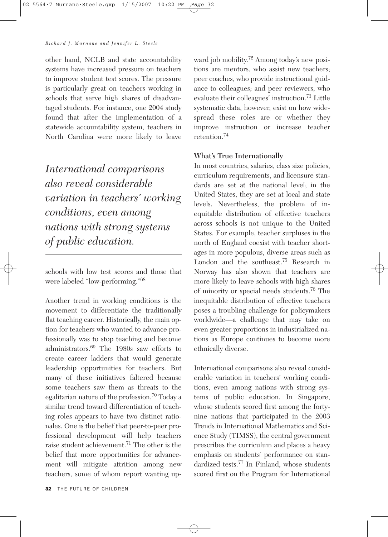other hand, NCLB and state accountability systems have increased pressure on teachers to improve student test scores. The pressure is particularly great on teachers working in schools that serve high shares of disadvantaged students. For instance, one 2004 study found that after the implementation of a statewide accountability system, teachers in North Carolina were more likely to leave

*International comparisons also reveal considerable variation in teachers' working conditions, even among nations with strong systems of public education.*

schools with low test scores and those that were labeled "low-performing."<sup>68</sup>

Another trend in working conditions is the movement to differentiate the traditionally flat teaching career. Historically, the main option for teachers who wanted to advance professionally was to stop teaching and become administrators.<sup>69</sup> The 1980s saw efforts to create career ladders that would generate leadership opportunities for teachers. But many of these initiatives faltered because some teachers saw them as threats to the egalitarian nature of the profession.<sup>70</sup> Today a similar trend toward differentiation of teaching roles appears to have two distinct rationales. One is the belief that peer-to-peer professional development will help teachers raise student achievement.<sup>71</sup> The other is the belief that more opportunities for advancement will mitigate attrition among new teachers, some of whom report wanting upward job mobility.<sup>72</sup> Among today's new positions are mentors, who assist new teachers; peer coaches, who provide instructional guidance to colleagues; and peer reviewers, who evaluate their colleagues' instruction.<sup>73</sup> Little systematic data, however, exist on how widespread these roles are or whether they improve instruction or increase teacher retention.<sup>74</sup>

### **What's True Internationally**

In most countries, salaries, class size policies, curriculum requirements, and licensure standards are set at the national level; in the United States, they are set at local and state levels. Nevertheless, the problem of inequitable distribution of effective teachers across schools is not unique to the United States. For example, teacher surpluses in the north of England coexist with teacher shortages in more populous, diverse areas such as London and the southeast.<sup>75</sup> Research in Norway has also shown that teachers are more likely to leave schools with high shares of minority or special needs students.<sup>76</sup> The inequitable distribution of effective teachers poses a troubling challenge for policymakers worldwide—a challenge that may take on even greater proportions in industrialized nations as Europe continues to become more ethnically diverse.

International comparisons also reveal considerable variation in teachers' working conditions, even among nations with strong systems of public education. In Singapore, whose students scored first among the fortynine nations that participated in the 2003 Trends in International Mathematics and Science Study (TIMSS), the central government prescribes the curriculum and places a heavy emphasis on students' performance on standardized tests.<sup>77</sup> In Finland, whose students scored first on the Program for International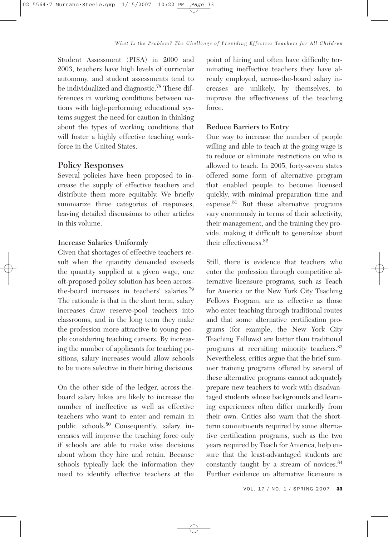Student Assessment (PISA) in 2000 and 2003, teachers have high levels of curricular autonomy, and student assessments tend to be individualized and diagnostic.<sup>78</sup> These differences in working conditions between nations with high-performing educational systems suggest the need for caution in thinking about the types of working conditions that will foster a highly effective teaching workforce in the United States.

### **Policy Responses**

Several policies have been proposed to increase the supply of effective teachers and distribute them more equitably. We briefly summarize three categories of responses, leaving detailed discussions to other articles in this volume.

#### **Increase Salaries Uniformly**

Given that shortages of effective teachers result when the quantity demanded exceeds the quantity supplied at a given wage, one oft-proposed policy solution has been acrossthe-board increases in teachers' salaries.<sup>79</sup> The rationale is that in the short term, salary increases draw reserve-pool teachers into classrooms, and in the long term they make the profession more attractive to young people considering teaching careers. By increasing the number of applicants for teaching positions, salary increases would allow schools to be more selective in their hiring decisions.

On the other side of the ledger, across-theboard salary hikes are likely to increase the number of ineffective as well as effective teachers who want to enter and remain in public schools.80 Consequently, salary increases will improve the teaching force only if schools are able to make wise decisions about whom they hire and retain. Because schools typically lack the information they need to identify effective teachers at the

point of hiring and often have difficulty terminating ineffective teachers they have already employed, across-the-board salary increases are unlikely, by themselves, to improve the effectiveness of the teaching force.

### **Reduce Barriers to Entry**

One way to increase the number of people willing and able to teach at the going wage is to reduce or eliminate restrictions on who is allowed to teach. In 2005, forty-seven states offered some form of alternative program that enabled people to become licensed quickly, with minimal preparation time and expense.<sup>81</sup> But these alternative programs vary enormously in terms of their selectivity, their management, and the training they provide, making it difficult to generalize about their effectiveness.<sup>82</sup>

Still, there is evidence that teachers who enter the profession through competitive alternative licensure programs, such as Teach for America or the New York City Teaching Fellows Program, are as effective as those who enter teaching through traditional routes and that some alternative certification programs (for example, the New York City Teaching Fellows) are better than traditional programs at recruiting minority teachers.<sup>83</sup> Nevertheless, critics argue that the brief summer training programs offered by several of these alternative programs cannot adequately prepare new teachers to work with disadvantaged students whose backgrounds and learning experiences often differ markedly from their own. Critics also warn that the shortterm commitments required by some alternative certification programs, such as the two years required by Teach for America, help ensure that the least-advantaged students are constantly taught by a stream of novices.<sup>84</sup> Further evidence on alternative licensure is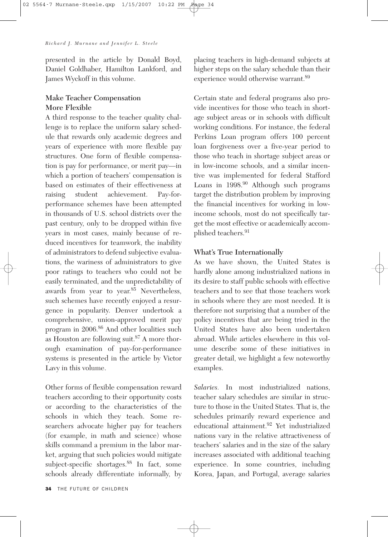presented in the article by Donald Boyd, Daniel Goldhaber, Hamilton Lankford, and James Wyckoff in this volume.

### **Make Teacher Compensation More Flexible**

A third response to the teacher quality challenge is to replace the uniform salary schedule that rewards only academic degrees and years of experience with more flexible pay structures. One form of flexible compensation is pay for performance, or merit pay—in which a portion of teachers' compensation is based on estimates of their effectiveness at raising student achievement. Pay-forperformance schemes have been attempted in thousands of U.S. school districts over the past century, only to be dropped within five years in most cases, mainly because of reduced incentives for teamwork, the inability of administrators to defend subjective evaluations, the wariness of administrators to give poor ratings to teachers who could not be easily terminated, and the unpredictability of awards from year to year. <sup>85</sup> Nevertheless, such schemes have recently enjoyed a resurgence in popularity. Denver undertook a comprehensive, union-approved merit pay program in 2006.<sup>86</sup> And other localities such as Houston are following suit.<sup>87</sup> A more thorough examination of pay-for-performance systems is presented in the article by Victor Lavy in this volume.

Other forms of flexible compensation reward teachers according to their opportunity costs or according to the characteristics of the schools in which they teach. Some researchers advocate higher pay for teachers (for example, in math and science) whose skills command a premium in the labor market, arguing that such policies would mitigate subject-specific shortages.<sup>88</sup> In fact, some schools already differentiate informally, by placing teachers in high-demand subjects at higher steps on the salary schedule than their experience would otherwise warrant.<sup>89</sup>

Certain state and federal programs also provide incentives for those who teach in shortage subject areas or in schools with difficult working conditions. For instance, the federal Perkins Loan program offers 100 percent loan forgiveness over a five-year period to those who teach in shortage subject areas or in low-income schools, and a similar incentive was implemented for federal Stafford Loans in 1998.<sup>90</sup> Although such programs target the distribution problem by improving the financial incentives for working in lowincome schools, most do not specifically target the most effective or academically accomplished teachers.<sup>91</sup>

### **What's True Internationally**

As we have shown, the United States is hardly alone among industrialized nations in its desire to staff public schools with effective teachers and to see that those teachers work in schools where they are most needed. It is therefore not surprising that a number of the policy incentives that are being tried in the United States have also been undertaken abroad. While articles elsewhere in this volume describe some of these initiatives in greater detail, we highlight a few noteworthy examples.

*Salaries.* In most industrialized nations, teacher salary schedules are similar in structure to those in the United States. That is, the schedules primarily reward experience and educational attainment.<sup>92</sup> Yet industrialized nations vary in the relative attractiveness of teachers' salaries and in the size of the salary increases associated with additional teaching experience. In some countries, including Korea, Japan, and Portugal, average salaries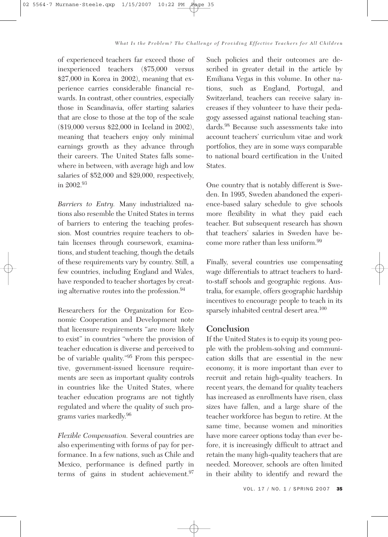of experienced teachers far exceed those of inexperienced teachers (\$75,000 versus \$27,000 in Korea in 2002), meaning that experience carries considerable financial rewards. In contrast, other countries, especially those in Scandinavia, offer starting salaries that are close to those at the top of the scale (\$19,000 versus \$22,000 in Iceland in 2002), meaning that teachers enjoy only minimal earnings growth as they advance through their careers. The United States falls somewhere in between, with average high and low salaries of \$52,000 and \$29,000, respectively, in 2002.<sup>93</sup>

*Barriers to Entry.* Many industrialized nations also resemble the United States in terms of barriers to entering the teaching profession. Most countries require teachers to obtain licenses through coursework, examinations, and student teaching, though the details of these requirements vary by country. Still, a few countries, including England and Wales, have responded to teacher shortages by creating alternative routes into the profession.94

Researchers for the Organization for Economic Cooperation and Development note that licensure requirements "are more likely to exist" in countries "where the provision of teacher education is diverse and perceived to be of variable quality."<sup>95</sup> From this perspective, government-issued licensure requirements are seen as important quality controls in countries like the United States, where teacher education programs are not tightly regulated and where the quality of such programs varies markedly.<sup>96</sup>

*Flexible Compensation.* Several countries are also experimenting with forms of pay for performance. In a few nations, such as Chile and Mexico, performance is defined partly in terms of gains in student achievement.<sup>97</sup>

Such policies and their outcomes are described in greater detail in the article by Emiliana Vegas in this volume. In other nations, such as England, Portugal, and Switzerland, teachers can receive salary increases if they volunteer to have their pedagogy assessed against national teaching standards.<sup>98</sup> Because such assessments take into account teachers' curriculum vitae and work portfolios, they are in some ways comparable to national board certification in the United States.

One country that is notably different is Sweden. In 1995, Sweden abandoned the experience-based salary schedule to give schools more flexibility in what they paid each teacher. But subsequent research has shown that teachers' salaries in Sweden have become more rather than less uniform.99

Finally, several countries use compensating wage differentials to attract teachers to hardto-staff schools and geographic regions. Australia, for example, offers geographic hardship incentives to encourage people to teach in its sparsely inhabited central desert area.100

### **Conclusion**

If the United States is to equip its young people with the problem-solving and communication skills that are essential in the new economy, it is more important than ever to recruit and retain high-quality teachers. In recent years, the demand for quality teachers has increased as enrollments have risen, class sizes have fallen, and a large share of the teacher workforce has begun to retire. At the same time, because women and minorities have more career options today than ever before, it is increasingly difficult to attract and retain the many high-quality teachers that are needed. Moreover, schools are often limited in their ability to identify and reward the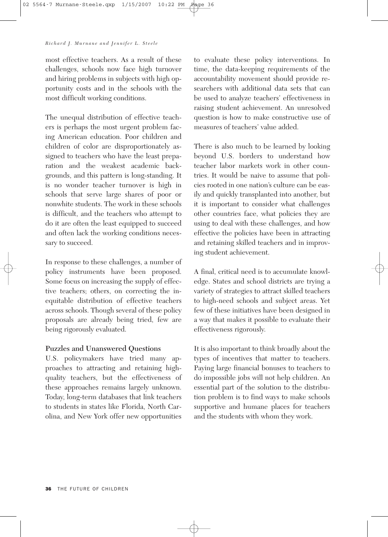most effective teachers. As a result of these challenges, schools now face high turnover and hiring problems in subjects with high opportunity costs and in the schools with the most difficult working conditions.

The unequal distribution of effective teachers is perhaps the most urgent problem facing American education. Poor children and children of color are disproportionately assigned to teachers who have the least preparation and the weakest academic backgrounds, and this pattern is long-standing. It is no wonder teacher turnover is high in schools that serve large shares of poor or nonwhite students. The work in these schools is difficult, and the teachers who attempt to do it are often the least equipped to succeed and often lack the working conditions necessary to succeed.

In response to these challenges, a number of policy instruments have been proposed. Some focus on increasing the supply of effective teachers; others, on correcting the inequitable distribution of effective teachers across schools. Though several of these policy proposals are already being tried, few are being rigorously evaluated.

### **Puzzles and Unanswered Questions**

U.S. policymakers have tried many approaches to attracting and retaining highquality teachers, but the effectiveness of these approaches remains largely unknown. Today, long-term databases that link teachers to students in states like Florida, North Carolina, and New York offer new opportunities

to evaluate these policy interventions. In time, the data-keeping requirements of the accountability movement should provide researchers with additional data sets that can be used to analyze teachers' effectiveness in raising student achievement. An unresolved question is how to make constructive use of measures of teachers' value added.

There is also much to be learned by looking beyond U.S. borders to understand how teacher labor markets work in other countries. It would be naive to assume that policies rooted in one nation's culture can be easily and quickly transplanted into another, but it is important to consider what challenges other countries face, what policies they are using to deal with these challenges, and how effective the policies have been in attracting and retaining skilled teachers and in improving student achievement.

A final, critical need is to accumulate knowledge. States and school districts are trying a variety of strategies to attract skilled teachers to high-need schools and subject areas. Yet few of these initiatives have been designed in a way that makes it possible to evaluate their effectiveness rigorously.

It is also important to think broadly about the types of incentives that matter to teachers. Paying large financial bonuses to teachers to do impossible jobs will not help children. An essential part of the solution to the distribution problem is to find ways to make schools supportive and humane places for teachers and the students with whom they work.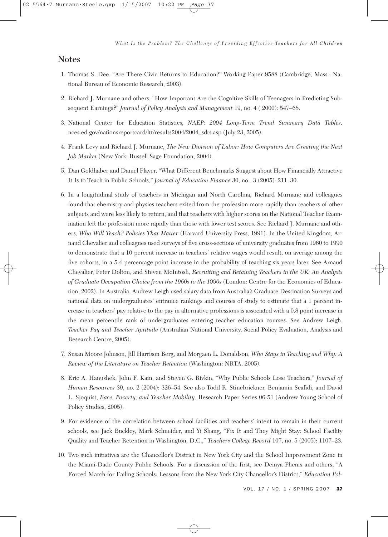#### **Notes**

- 1. Thomas S. Dee, "Are There Civic Returns to Education?" Working Paper 9588 (Cambridge, Mass.: National Bureau of Economic Research, 2003).
- 2. Richard J. Murnane and others, "How Important Are the Cognitive Skills of Teenagers in Predicting Subsequent Earnings?" *Journal of Policy Analysis and Management* 19, no. 4 ( 2000): 547–68.
- 3. National Center for Education Statistics, *NAEP: 2004 Long-Term Trend Summary Data Tables,* nces.ed.gov/nationsreportcard/ltt/results2004/2004\_sdts.asp (July 23, 2005).
- 4. Frank Levy and Richard J. Murnane, *The New Division of Labor: How Computers Are Creating the Next Job Market* (New York: Russell Sage Foundation, 2004).
- 5. Dan Goldhaber and Daniel Player, "What Different Benchmarks Suggest about How Financially Attractive It Is to Teach in Public Schools," *Journal of Education Finance* 30, no. 3 (2005): 211–30.
- 6. In a longitudinal study of teachers in Michigan and North Carolina, Richard Murnane and colleagues found that chemistry and physics teachers exited from the profession more rapidly than teachers of other subjects and were less likely to return, and that teachers with higher scores on the National Teacher Examination left the profession more rapidly than those with lower test scores. See Richard J. Murnane and others, *Who Will Teach? Policies That Matter* (Harvard University Press, 1991). In the United Kingdom, Arnaud Chevalier and colleagues used surveys of five cross-sections of university graduates from 1960 to 1990 to demonstrate that a 10 percent increase in teachers' relative wages would result, on average among the five cohorts, in a 5.4 percentage point increase in the probability of teaching six years later. See Arnaud Chevalier, Peter Dolton, and Steven McIntosh, *Recruiting and Retaining Teachers in the UK: An Analysis of Graduate Occupation Choice from the 1960s to the 1990s* (London: Centre for the Economics of Education, 2002). In Australia, Andrew Leigh used salary data from Australia's Graduate Destination Surveys and national data on undergraduates' entrance rankings and courses of study to estimate that a 1 percent increase in teachers' pay relative to the pay in alternative professions is associated with a 0.8 point increase in the mean percentile rank of undergraduates entering teacher education courses. See Andrew Leigh, *Teacher Pay and Teacher Aptitude* (Australian National University, Social Policy Evaluation, Analysis and Research Centre, 2005).
- 7. Susan Moore Johnson, Jill Harrison Berg, and Morgaen L. Donaldson, *Who Stays in Teaching and Why: A Review of the Literature on Teacher Retention* (Washington: NRTA, 2005).
- 8. Eric A. Hanushek, John F. Kain, and Steven G. Rivkin, "Why Public Schools Lose Teachers," *Journal of Human Resources* 39, no. 2 (2004): 326–54. See also Todd R. Stinebrickner, Benjamin Scafidi, and David L. Sjoquist, *Race, Poverty, and Teacher Mobility*, Research Paper Series 06-51 (Andrew Young School of Policy Studies, 2005).
- 9. For evidence of the correlation between school facilities and teachers' intent to remain in their current schools, see Jack Buckley, Mark Schneider, and Yi Shang, "Fix It and They Might Stay: School Facility Quality and Teacher Retention in Washington, D.C.," *Teachers College Record* 107, no. 5 (2005): 1107–23.
- 10. Two such initiatives are the Chancellor's District in New York City and the School Improvement Zone in the Miami-Dade County Public Schools. For a discussion of the first, see Deinya Phenix and others, "A Forced March for Failing Schools: Lessons from the New York City Chancellor's District," *Education Pol-*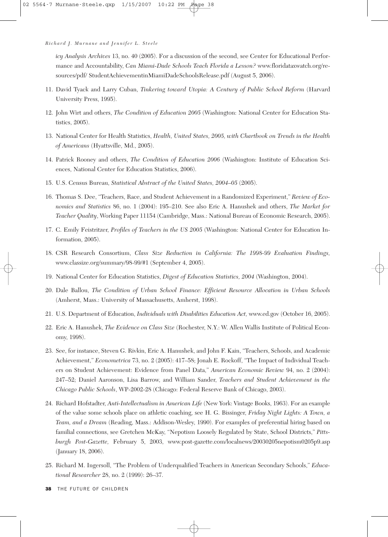*Richard J. Murnane and Jennifer L. Steele*

*icy Analysis Archives* 13, no. 40 (2005). For a discussion of the second, see Center for Educational Performance and Accountability, *Can Miami-Dade Schools Teach Florida a Lesson?* www.floridataxwatch.org/resources/pdf/ StudentAchievementinMiamiDadeSchoolsRelease.pdf (August 5, 2006).

- 11. David Tyack and Larry Cuban, *Tinkering toward Utopia: A Century of Public School Reform* (Harvard University Press, 1995).
- 12. John Wirt and others, *The Condition of Education 2005* (Washington: National Center for Education Statistics, 2005).
- 13. National Center for Health Statistics, *Health, United States, 2005, with Chartbook on Trends in the Health of Americans* (Hyattsville, Md., 2005).
- 14. Patrick Rooney and others, *The Condition of Education 2006* (Washington: Institute of Education Sciences, National Center for Education Statistics, 2006).
- 15. U.S. Census Bureau, *Statistical Abstract of the United States, 2004–05* (2005).
- 16. Thomas S. Dee, "Teachers, Race, and Student Achievement in a Randomized Experiment," *Review of Economics and Statistics* 86, no. 1 (2004): 195–210. See also Eric A. Hanushek and others, *The Market for Teacher Quality*, Working Paper 11154 (Cambridge, Mass.: National Bureau of Economic Research, 2005).
- 17. C. Emily Feistritzer, *Profiles of Teachers in the US 2005* (Washington: National Center for Education Information, 2005).
- 18. CSR Research Consortium, *Class Size Reduction in California: The 1998-99 Evaluation Findings,* www.classize.org/summary/98-99/#1 (September 4, 2005).
- 19. National Center for Education Statistics, *Digest of Education Statistics, 2004* (Washington, 2004).
- 20. Dale Ballou, *The Condition of Urban School Finance: Efficient Resource Allocation in Urban Schools* (Amherst, Mass.: University of Massachusetts, Amherst, 1998).
- 21. U.S. Department of Education, *Individuals with Disabilities Education Act,* www.ed.gov (October 16, 2005).
- 22. Eric A. Hanushek, *The Evidence on Class Size* (Rochester, N.Y.: W. Allen Wallis Institute of Political Economy, 1998).
- 23. See, for instance, Steven G. Rivkin, Eric A. Hanushek, and John F. Kain, "Teachers, Schools, and Academic Achievement," *Econometrica* 73, no. 2 (2005): 417–58; Jonah E. Rockoff, "The Impact of Individual Teachers on Student Achievement: Evidence from Panel Data," *American Economic Review* 94, no. 2 (2004): 247–52; Daniel Aaronson, Lisa Barrow, and William Sander, *Teachers and Student Achievement in the Chicago Public Schools*, WP-2002-28 (Chicago: Federal Reserve Bank of Chicago, 2003).
- 24. Richard Hofstadter, *Anti-Intellectualism in American Life* (New York: Vintage Books, 1963). For an example of the value some schools place on athletic coaching, see H. G. Bissinger, *Friday Night Lights: A Town, a Team, and a Dream* (Reading, Mass.: Addison-Wesley, 1990). For examples of preferential hiring based on familial connections, see Gretchen McKay, "Nepotism Loosely Regulated by State, School Districts," *Pittsburgh Post-Gazette,* February 5, 2003, www.post-gazette.com/localnews/20030205nepotism0205p9.asp (January 18, 2006).
- 25. Richard M. Ingersoll, "The Problem of Underqualified Teachers in American Secondary Schools," *Educational Researcher* 28, no. 2 (1999): 26–37.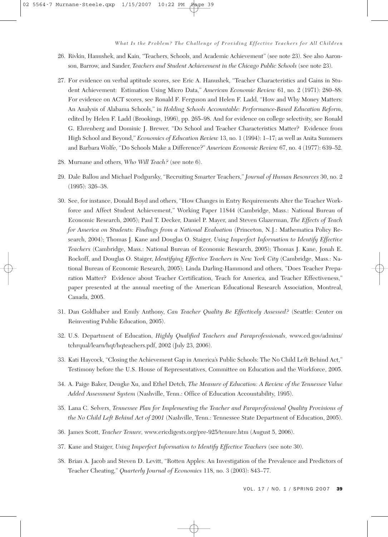- 26. Rivkin, Hanushek, and Kain, "Teachers, Schools, and Academic Achievement" (see note 23). See also Aaronson, Barrow, and Sander, *Teachers and Student Achievement in the Chicago Public Schools* (see note 23).
- 27. For evidence on verbal aptitude scores, see Eric A. Hanushek, "Teacher Characteristics and Gains in Student Achievement: Estimation Using Micro Data," *American Economic Review* 61, no. 2 (1971): 280–88. For evidence on ACT scores, see Ronald F. Ferguson and Helen F. Ladd, "How and Why Money Matters: An Analysis of Alabama Schools," in *Holding Schools Accountable: Performance-Based Education Reform*, edited by Helen F. Ladd (Brookings, 1996), pp. 265–98. And for evidence on college selectivity, see Ronald G. Ehrenberg and Dominic J. Brewer, "Do School and Teacher Characteristics Matter? Evidence from High School and Beyond," *Economics of Education Review* 13, no. 1 (1994): 1–17; as well as Anita Summers and Barbara Wolfe, "Do Schools Make a Difference?" *American Economic Review* 67, no. 4 (1977): 639–52.
- 28. Murnane and others, *Who Will Teach?* (see note 6).
- 29. Dale Ballou and Michael Podgursky, "Recruiting Smarter Teachers," *Journal of Human Resources* 30, no. 2 (1995): 326–38.
- 30. See, for instance, Donald Boyd and others, "How Changes in Entry Requirements Alter the Teacher Workforce and Affect Student Achievement," Working Paper 11844 (Cambridge, Mass.: National Bureau of Economic Research, 2005); Paul T. Decker, Daniel P. Mayer, and Steven Glazerman, *The Effects of Teach for America on Students: Findings from a National Evaluation* (Princeton, N.J.: Mathematica Policy Research, 2004); Thomas J. Kane and Douglas O. Staiger, *Using Imperfect Information to Identify Effective Teachers* (Cambridge, Mass.: National Bureau of Economic Research, 2005); Thomas J. Kane, Jonah E. Rockoff, and Douglas O. Staiger, *Identifying Effective Teachers in New York City* (Cambridge, Mass.: National Bureau of Economic Research, 2005); Linda Darling-Hammond and others, "Does Teacher Preparation Matter? Evidence about Teacher Certification, Teach for America, and Teacher Effectiveness," paper presented at the annual meeting of the American Educational Research Association, Montreal, Canada, 2005.
- 31. Dan Goldhaber and Emily Anthony, *Can Teacher Quality Be Effectively Assessed?* (Seattle: Center on Reinventing Public Education, 2005).
- 32. U.S. Department of Education, *Highly Qualified Teachers and Paraprofessionals,* www.ed.gov/admins/ tchrqual/learn/hqt/hqteachers.pdf, 2002 (July 23, 2006).
- 33. Kati Haycock, "Closing the Achievement Gap in America's Public Schools: The No Child Left Behind Act," Testimony before the U.S. House of Representatives, Committee on Education and the Workforce, 2005.
- 34. A. Paige Baker, Dengke Xu, and Ethel Detch, *The Measure of Education: A Review of the Tennessee Value Added Assessment System* (Nashville, Tenn.: Office of Education Accountability, 1995).
- 35. Lana C. Selvers, *Tennessee Plan for Implementing the Teacher and Paraprofessional Quality Provisions of the No Child Left Behind Act of 2001* (Nashville, Tenn.: Tennessee State Department of Education, 2005).
- 36. James Scott, *Teacher Tenure,* www.ericdigests.org/pre-925/tenure.htm (August 5, 2006).
- 37. Kane and Staiger, *Using Imperfect Information to Identify Effective Teachers* (see note 30).
- 38. Brian A. Jacob and Steven D. Levitt, "Rotten Apples: An Investigation of the Prevalence and Predictors of Teacher Cheating," *Quarterly Journal of Economics* 118, no. 3 (2003): 843–77.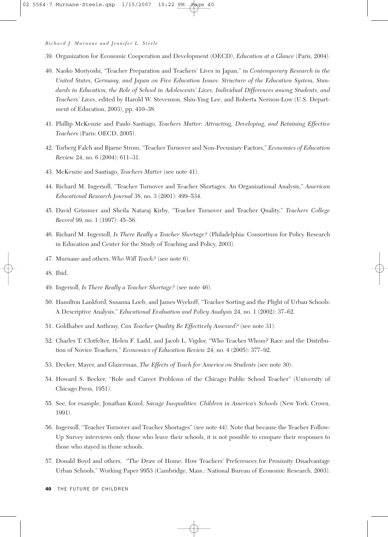- 39. Organization for Economic Cooperation and Development (OECD), *Education at a Glance* (Paris, 2004).
- 40. Naoko Moriyoshi, "Teacher Preparation and Teachers' Lives in Japan," in *Contemporary Research in the United States, Germany, and Japan on Five Education Issues: Structure of the Education System, Standards in Education, the Role of School in Adolescents' Lives, Individual Differences among Students, and Teachers' Lives*, edited by Harold W. Stevenson, Shin-Ying Lee, and Roberta Nerison-Low (U.S. Department of Education, 2003), pp. 410–38.
- 41. Phillip McKenzie and Paulo Santiago, *Teachers Matter: Attracting, Developing, and Retaining Effective Teachers* (Paris: OECD, 2005).
- 42. Torberg Falch and Bjarne Strom, "Teacher Turnover and Non-Pecuniary Factors," *Economics of Education Review* 24, no. 6 (2004): 611–31.
- 43. McKenzie and Santiago, *Teachers Matter* (see note 41).
- 44. Richard M. Ingersoll, "Teacher Turnover and Teacher Shortages: An Organizational Analysis," *American Educational Research Journal* 38, no. 3 (2001): 499–534.
- 45. David Grissmer and Sheila Nataraj Kirby, "Teacher Turnover and Teacher Quality," *Teachers College Record* 99, no. 1 (1997): 45–56.
- 46. Richard M. Ingersoll, *Is There Really a Teacher Shortage?* (Philadelphia: Consortium for Policy Research in Education and Center for the Study of Teaching and Policy, 2003).
- 47. Murnane and others, *Who Will Teach?* (see note 6).
- 48. Ibid.
- 49. Ingersoll, *Is There Really a Teacher Shortage?* (see note 46).
- 50. Hamilton Lankford, Susanna Loeb, and James Wyckoff, "Teacher Sorting and the Plight of Urban Schools: A Descriptive Analysis," *Educational Evaluation and Policy Analysis* 24, no. 1 (2002): 37–62.
- 51. Goldhaber and Anthony, *Can Teacher Quality Be Effectively Assessed?* (see note 31).
- 52. Charles T. Clotfelter, Helen F. Ladd, and Jacob L. Vigdor, "Who Teaches Whom? Race and the Distribution of Novice Teachers," *Economics of Education Review* 24, no. 4 (2005): 377–92.
- 53. Decker, Mayer, and Glazerman, *The Effects of Teach for America on Students* (see note 30).
- 54. Howard S. Becker, "Role and Career Problems of the Chicago Public School Teacher" (University of Chicago Press, 1951).
- 55. See, for example, Jonathan Kozol, *Savage Inequalities: Children in America's Schools* (New York: Crown, 1991).
- 56. Ingersoll, "Teacher Turnover and Teacher Shortages" (see note 44). Note that because the Teacher Follow-Up Survey interviews only those who leave their schools, it is not possible to compare their responses to those who stayed in those schools.
- 57. Donald Boyd and others, "The Draw of Home: How Teachers' Preferences for Proximity Disadvantage Urban Schools," Working Paper 9953 (Cambridge, Mass.: National Bureau of Economic Research, 2003).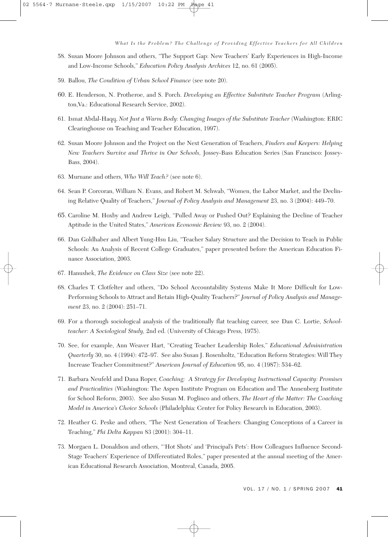- 58. Susan Moore Johnson and others, "The Support Gap: New Teachers' Early Experiences in High-Income and Low-Income Schools," *Education Policy Analysis Archives* 12, no. 61 (2005).
- 59. Ballou, *The Condition of Urban School Finance* (see note 20).
- 60. E. Henderson, N. Protheroe, and S. Porch. *Developing an Effective Substitute Teacher Program* (Arlington,Va.: Educational Research Service, 2002).
- 61. Ismat Abdal-Haqq, *Not Just a Warm Body: Changing Images of the Substitute Teacher* (Washington: ERIC Clearinghouse on Teaching and Teacher Education, 1997).
- 62. Susan Moore Johnson and the Project on the Next Generation of Teachers, *Finders and Keepers: Helping New Teachers Survive and Thrive in Our Schools,* Jossey-Bass Education Series (San Francisco: Jossey-Bass, 2004).
- 63. Murnane and others, *Who Will Teach?* (see note 6).
- 64. Sean P. Corcoran, William N. Evans, and Robert M. Schwab, "Women, the Labor Market, and the Declining Relative Quality of Teachers," *Journal of Policy Analysis and Management* 23, no. 3 (2004): 449–70.
- 65. Caroline M. Hoxby and Andrew Leigh, "Pulled Away or Pushed Out? Explaining the Decline of Teacher Aptitude in the United States," *American Economic Review* 93, no. 2 (2004).
- 66. Dan Goldhaber and Albert Yung-Hsu Liu, "Teacher Salary Structure and the Decision to Teach in Public Schools: An Analysis of Recent College Graduates," paper presented before the American Education Finance Association, 2003.
- 67. Hanushek, *The Evidence on Class Size* (see note 22).
- 68. Charles T. Clotfelter and others, "Do School Accountability Systems Make It More Difficult for Low-Performing Schools to Attract and Retain High-Quality Teachers?" *Journal of Policy Analysis and Management* 23, no. 2 (2004): 251–71.
- 69. For a thorough sociological analysis of the traditionally flat teaching career, see Dan C. Lortie, *Schoolteacher: A Sociological Study,* 2nd ed. (University of Chicago Press, 1975).
- 70. See, for example, Ann Weaver Hart, "Creating Teacher Leadership Roles," *Educational Administration Quarterly* 30, no. 4 (1994): 472–97. See also Susan J. Rosenholtz, "Education Reform Strategies: Will They Increase Teacher Commitment?" *American Journal of Education* 95, no. 4 (1987): 534–62.
- 71. Barbara Neufeld and Dana Roper, *Coaching: A Strategy for Developing Instructional Capacity: Promises and Practicalities* (Washington: The Aspen Institute Program on Education and The Annenberg Institute for School Reform, 2003). See also Susan M. Poglinco and others, *The Heart of the Matter: The Coaching Model in America's Choice Schools* (Philadelphia: Center for Policy Research in Education, 2003).
- 72. Heather G. Peske and others, "The Next Generation of Teachers: Changing Conceptions of a Career in Teaching," *Phi Delta Kappan* 83 (2001): 304–11.
- 73. Morgaen L. Donaldson and others, "'Hot Shots' and 'Principal's Pets': How Colleagues Influence Second-Stage Teachers' Experience of Differentiated Roles," paper presented at the annual meeting of the American Educational Research Association, Montreal, Canada, 2005.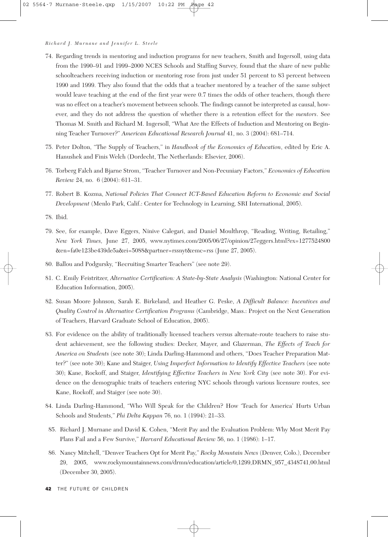#### *Richard J. Murnane and Jennifer L. Steele*

- 74. Regarding trends in mentoring and induction programs for new teachers, Smith and Ingersoll, using data from the 1990–91 and 1999–2000 NCES Schools and Staffing Survey, found that the share of new public schoolteachers receiving induction or mentoring rose from just under 51 percent to 83 percent between 1990 and 1999. They also found that the odds that a teacher mentored by a teacher of the same subject would leave teaching at the end of the first year were 0.7 times the odds of other teachers, though there was no effect on a teacher's movement between schools. The findings cannot be interpreted as causal, however, and they do not address the question of whether there is a retention effect for the *mentors*. See Thomas M. Smith and Richard M. Ingersoll, "What Are the Effects of Induction and Mentoring on Beginning Teacher Turnover?" *American Educational Research Journal* 41, no. 3 (2004): 681–714.
- 75. Peter Dolton, "The Supply of Teachers," in *Handbook of the Economics of Education*, edited by Eric A. Hanushek and Finis Welch (Dordecht, The Netherlands: Elsevier, 2006).
- 76. Torberg Falch and Bjarne Strom, "Teacher Turnover and Non-Pecuniary Factors," *Economics of Education Review* 24, no. 6 (2004): 611–31.
- 77. Robert B. Kozma, *National Policies That Connect ICT-Based Education Reform to Economic and Social Development* (Menlo Park, Calif.: Center for Technology in Learning, SRI International, 2005).
- 78. Ibid.
- 79. See, for example, Dave Eggers, Ninive Calegari, and Daniel Moulthrop, "Reading, Writing, Retailing," *New York Times,* June 27, 2005, www.nytimes.com/2005/06/27/opinion/27eggers.html?ex=1277524800 &en=fa0e123be439de5a&ei=5088&partner=rssnyt&emc=rss (June 27, 2005).
- 80. Ballou and Podgursky, "Recruiting Smarter Teachers" (see note 29).
- 81. C. Emily Feistritzer, *Alternative Certification: A State-by-State Analysis* (Washington: National Center for Education Information, 2005).
- 82. Susan Moore Johnson, Sarah E. Birkeland, and Heather G. Peske, *A Difficult Balance: Incentives and Quality Control in Alternative Certification Programs* (Cambridge, Mass.: Project on the Next Generation of Teachers, Harvard Graduate School of Education, 2005).
- 83. For evidence on the ability of traditionally licensed teachers versus alternate-route teachers to raise student achievement, see the following studies: Decker, Mayer, and Glazerman, *The Effects of Teach for America on Students* (see note 30); Linda Darling-Hammond and others, "Does Teacher Preparation Matter?" (see note 30); Kane and Staiger, *Using Imperfect Information to Identify Effective Teachers* (see note 30); Kane, Rockoff, and Staiger, *Identifying Effective Teachers in New York City* (see note 30). For evidence on the demographic traits of teachers entering NYC schools through various licensure routes, see Kane, Rockoff, and Staiger (see note 30).
- 84. Linda Darling-Hammond, "Who Will Speak for the Children? How 'Teach for America' Hurts Urban Schools and Students," *Phi Delta Kappan* 76, no. 1 (1994): 21–33.
- 85. Richard J. Murnane and David K. Cohen, "Merit Pay and the Evaluation Problem: Why Most Merit Pay Plans Fail and a Few Survive," *Harvard Educational Review* 56, no. 1 (1986): 1–17.
- 86. Nancy Mitchell, "Denver Teachers Opt for Merit Pay," *Rocky Mountain News* (Denver, Colo.), December 29, 2005, www.rockymountainnews.com/drmn/education/article/0,1299,DRMN\_957\_4348741,00.html (December 30, 2005).